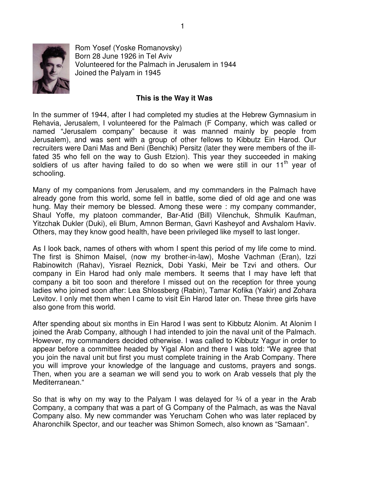

Rom Yosef (Yoske Romanovsky) Born 28 June 1926 in Tel Aviv Volunteered for the Palmach in Jerusalem in 1944 Joined the Palyam in 1945

## **This is the Way it Was**

In the summer of 1944, after I had completed my studies at the Hebrew Gymnasium in Rehavia, Jerusalem, I volunteered for the Palmach (F Company, which was called or named "Jerusalem company" because it was manned mainly by people from Jerusalem), and was sent with a group of other fellows to Kibbutz Ein Harod. Our recruiters were Dani Mas and Beni (Benchik) Persitz (later they were members of the illfated 35 who fell on the way to Gush Etzion). This year they succeeded in making soldiers of us after having failed to do so when we were still in our  $11<sup>th</sup>$  year of schooling.

Many of my companions from Jerusalem, and my commanders in the Palmach have already gone from this world, some fell in battle, some died of old age and one was hung. May their memory be blessed. Among these were : my company commander, Shaul Yoffe, my platoon commander, Bar-Atid (Bill) Vilenchuk, Shmulik Kaufman, Yitzchak Dukler (Duki), eli Blum, Amnon Berman, Gavri Kasheyof and Avshalom Haviv. Others, may they know good health, have been privileged like myself to last longer.

As I look back, names of others with whom I spent this period of my life come to mind. The first is Shimon Maisel, (now my brother-in-law), Moshe Vachman (Eran), Izzi Rabinowitch (Rahav), Yisrael Reznick, Dobi Yaski, Meir be Tzvi and others. Our company in Ein Harod had only male members. It seems that I may have left that company a bit too soon and therefore I missed out on the reception for three young ladies who joined soon after: Lea Shlossberg (Rabin), Tamar Kofika (Yakir) and Zohara Levitov. I only met them when I came to visit Ein Harod later on. These three girls have also gone from this world.

After spending about six months in Ein Harod I was sent to Kibbutz Alonim. At Alonim I joined the Arab Company, although I had intended to join the naval unit of the Palmach. However, my commanders decided otherwise. I was called to Kibbutz Yagur in order to appear before a committee headed by Yigal Alon and there I was told: "We agree that you join the naval unit but first you must complete training in the Arab Company. There you will improve your knowledge of the language and customs, prayers and songs. Then, when you are a seaman we will send you to work on Arab vessels that ply the Mediterranean."

So that is why on my way to the Palyam I was delayed for  $\frac{3}{4}$  of a year in the Arab Company, a company that was a part of G Company of the Palmach, as was the Naval Company also. My new commander was Yerucham Cohen who was later replaced by Aharonchilk Spector, and our teacher was Shimon Somech, also known as "Samaan".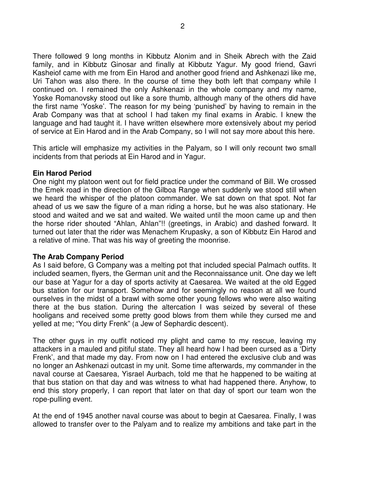There followed 9 long months in Kibbutz Alonim and in Sheik Abrech with the Zaid family, and in Kibbutz Ginosar and finally at Kibbutz Yagur. My good friend, Gavri Kasheiof came with me from Ein Harod and another good friend and Ashkenazi like me, Uri Tahon was also there. In the course of time they both left that company while I continued on. I remained the only Ashkenazi in the whole company and my name, Yoske Romanovsky stood out like a sore thumb, although many of the others did have the first name 'Yoske'. The reason for my being 'punished' by having to remain in the Arab Company was that at school I had taken my final exams in Arabic. I knew the language and had taught it. I have written elsewhere more extensively about my period of service at Ein Harod and in the Arab Company, so I will not say more about this here.

This article will emphasize my activities in the Palyam, so I will only recount two small incidents from that periods at Ein Harod and in Yagur.

## **Ein Harod Period**

One night my platoon went out for field practice under the command of Bill. We crossed the Emek road in the direction of the Gilboa Range when suddenly we stood still when we heard the whisper of the platoon commander. We sat down on that spot. Not far ahead of us we saw the figure of a man riding a horse, but he was also stationary. He stood and waited and we sat and waited. We waited until the moon came up and then the horse rider shouted "Ahlan, Ahlan"!! (greetings, in Arabic) and dashed forward. It turned out later that the rider was Menachem Krupasky, a son of Kibbutz Ein Harod and a relative of mine. That was his way of greeting the moonrise.

## **The Arab Company Period**

As I said before, G Company was a melting pot that included special Palmach outfits. It included seamen, flyers, the German unit and the Reconnaissance unit. One day we left our base at Yagur for a day of sports activity at Caesarea. We waited at the old Egged bus station for our transport. Somehow and for seemingly no reason at all we found ourselves in the midst of a brawl with some other young fellows who were also waiting there at the bus station. During the altercation I was seized by several of these hooligans and received some pretty good blows from them while they cursed me and yelled at me; "You dirty Frenk" (a Jew of Sephardic descent).

The other guys in my outfit noticed my plight and came to my rescue, leaving my attackers in a mauled and pitiful state. They all heard how I had been cursed as a 'Dirty Frenk', and that made my day. From now on I had entered the exclusive club and was no longer an Ashkenazi outcast in my unit. Some time afterwards, my commander in the naval course at Caesarea, Yisrael Aurbach, told me that he happened to be waiting at that bus station on that day and was witness to what had happened there. Anyhow, to end this story properly, I can report that later on that day of sport our team won the rope-pulling event.

At the end of 1945 another naval course was about to begin at Caesarea. Finally, I was allowed to transfer over to the Palyam and to realize my ambitions and take part in the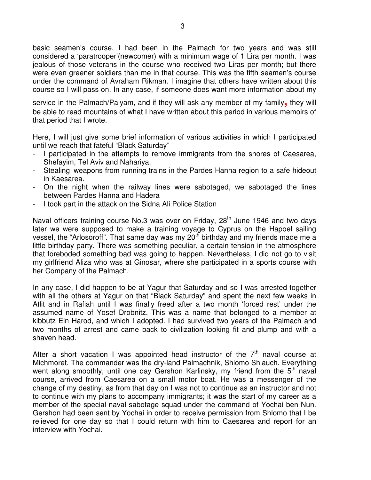basic seamen's course. I had been in the Palmach for two years and was still considered a 'paratrooper'(newcomer) with a minimum wage of 1 Lira per month. I was jealous of those veterans in the course who received two Liras per month; but there were even greener soldiers than me in that course. This was the fifth seamen's course under the command of Avraham Rikman. I imagine that others have written about this course so I will pass on. In any case, if someone does want more information about my

service in the Palmach/Palyam, and if they will ask any member of my family**,** they will be able to read mountains of what I have written about this period in various memoirs of that period that I wrote.

Here, I will just give some brief information of various activities in which I participated until we reach that fateful "Black Saturday"

- I participated in the attempts to remove immigrants from the shores of Caesarea, Shefayim, Tel Aviv and Nahariya.
- Stealing weapons from running trains in the Pardes Hanna region to a safe hideout in Kaesarea.
- On the night when the railway lines were sabotaged, we sabotaged the lines between Pardes Hanna and Hadera
- I took part in the attack on the Sidna Ali Police Station

Naval officers training course No.3 was over on Friday, 28<sup>th</sup> June 1946 and two days later we were supposed to make a training voyage to Cyprus on the Hapoel sailing vessel, the "Arlosoroff". That same day was my 20<sup>th</sup> birthday and my friends made me a little birthday party. There was something peculiar, a certain tension in the atmosphere that foreboded something bad was going to happen. Nevertheless, I did not go to visit my girlfriend Aliza who was at Ginosar, where she participated in a sports course with her Company of the Palmach.

In any case, I did happen to be at Yagur that Saturday and so I was arrested together with all the others at Yagur on that "Black Saturday" and spent the next few weeks in Atlit and in Rafiah until I was finally freed after a two month 'forced rest' under the assumed name of Yosef Drobnitz. This was a name that belonged to a member at kibbutz Ein Harod, and which I adopted. I had survived two years of the Palmach and two months of arrest and came back to civilization looking fit and plump and with a shaven head.

After a short vacation I was appointed head instructor of the  $7<sup>th</sup>$  naval course at Michmoret. The commander was the dry-land Palmachnik, Shlomo Shlauch. Everything went along smoothly, until one day Gershon Karlinsky, my friend from the 5<sup>th</sup> naval course, arrived from Caesarea on a small motor boat. He was a messenger of the change of my destiny, as from that day on I was not to continue as an instructor and not to continue with my plans to accompany immigrants; it was the start of my career as a member of the special naval sabotage squad under the command of Yochai ben Nun. Gershon had been sent by Yochai in order to receive permission from Shlomo that I be relieved for one day so that I could return with him to Caesarea and report for an interview with Yochai.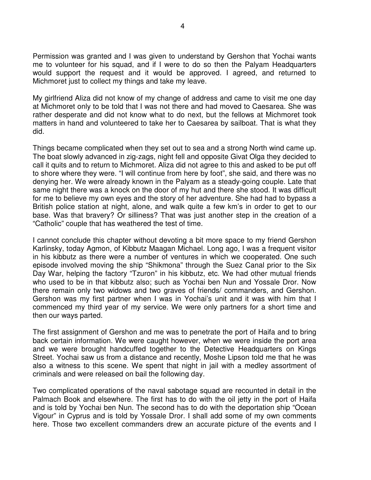Permission was granted and I was given to understand by Gershon that Yochai wants me to volunteer for his squad, and if I were to do so then the Palyam Headquarters would support the request and it would be approved. I agreed, and returned to Michmoret just to collect my things and take my leave.

My girlfriend Aliza did not know of my change of address and came to visit me one day at Michmoret only to be told that I was not there and had moved to Caesarea. She was rather desperate and did not know what to do next, but the fellows at Michmoret took matters in hand and volunteered to take her to Caesarea by sailboat. That is what they did.

Things became complicated when they set out to sea and a strong North wind came up. The boat slowly advanced in zig-zags, night fell and opposite Givat Olga they decided to call it quits and to return to Michmoret. Aliza did not agree to this and asked to be put off to shore where they were. "I will continue from here by foot", she said, and there was no denying her. We were already known in the Palyam as a steady-going couple. Late that same night there was a knock on the door of my hut and there she stood. It was difficult for me to believe my own eyes and the story of her adventure. She had had to bypass a British police station at night, alone, and walk quite a few km's in order to get to our base. Was that bravery? Or silliness? That was just another step in the creation of a "Catholic" couple that has weathered the test of time.

I cannot conclude this chapter without devoting a bit more space to my friend Gershon Karlinsky, today Agmon, of Kibbutz Maagan Michael. Long ago, I was a frequent visitor in his kibbutz as there were a number of ventures in which we cooperated. One such episode involved moving the ship "Shikmona" through the Suez Canal prior to the Six Day War, helping the factory "Tzuron" in his kibbutz, etc. We had other mutual friends who used to be in that kibbutz also; such as Yochai ben Nun and Yossale Dror. Now there remain only two widows and two graves of friends/ commanders, and Gershon. Gershon was my first partner when I was in Yochai's unit and it was with him that I commenced my third year of my service. We were only partners for a short time and then our ways parted.

The first assignment of Gershon and me was to penetrate the port of Haifa and to bring back certain information. We were caught however, when we were inside the port area and we were brought handcuffed together to the Detective Headquarters on Kings Street. Yochai saw us from a distance and recently, Moshe Lipson told me that he was also a witness to this scene. We spent that night in jail with a medley assortment of criminals and were released on bail the following day.

Two complicated operations of the naval sabotage squad are recounted in detail in the Palmach Book and elsewhere. The first has to do with the oil jetty in the port of Haifa and is told by Yochai ben Nun. The second has to do with the deportation ship "Ocean Vigour" in Cyprus and is told by Yossale Dror. I shall add some of my own comments here. Those two excellent commanders drew an accurate picture of the events and I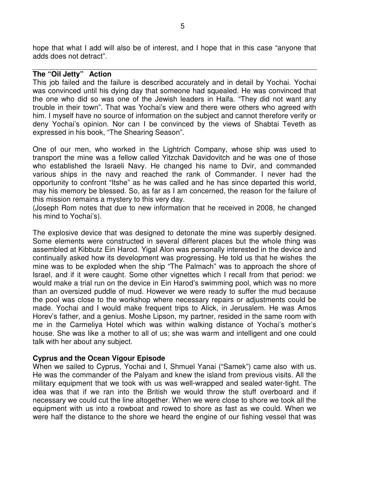hope that what I add will also be of interest, and I hope that in this case "anyone that adds does not detract".

# **The "Oil Jetty" Action**

This job failed and the failure is described accurately and in detail by Yochai. Yochai was convinced until his dying day that someone had squealed. He was convinced that the one who did so was one of the Jewish leaders in Haifa. "They did not want any trouble in their town". That was Yochai's view and there were others who agreed with him. I myself have no source of information on the subject and cannot therefore verify or deny Yochai's opinion. Nor can I be convinced by the views of Shabtai Teveth as expressed in his book, "The Shearing Season".

One of our men, who worked in the Lightrich Company, whose ship was used to transport the mine was a fellow called Yitzchak Davidovitch and he was one of those who established the Israeli Navy. He changed his name to Dvir, and commanded various ships in the navy and reached the rank of Commander. I never had the opportunity to confront "Itshe" as he was called and he has since departed this world, may his memory be blessed. So, as far as I am concerned, the reason for the failure of this mission remains a mystery to this very day.

(Joseph Rom notes that due to new information that he received in 2008, he changed his mind to Yochai's).

The explosive device that was designed to detonate the mine was superbly designed. Some elements were constructed in several different places but the whole thing was assembled at Kibbutz Ein Harod. Yigal Alon was personally interested in the device and continually asked how its development was progressing. He told us that he wishes the mine was to be exploded when the ship "The Palmach" was to approach the shore of Israel, and if it were caught. Some other vignettes which I recall from that period: we would make a trial run on the device in Ein Harod's swimming pool, which was no more than an oversized puddle of mud. However we were ready to suffer the mud because the pool was close to the workshop where necessary repairs or adjustments could be made. Yochai and I would make frequent trips to Alick, in Jerusalem. He was Amos Horev's father, and a genius. Moshe Lipson, my partner, resided in the same room with me in the Carmeliya Hotel which was within walking distance of Yochai's mother's house. She was like a mother to all of us; she was warm and intelligent and one could talk with her about any subject.

## **Cyprus and the Ocean Vigour Episode**

When we sailed to Cyprus, Yochai and I, Shmuel Yanai ("Samek") came also with us. He was the commander of the Palyam and knew the island from previous visits. All the military equipment that we took with us was well-wrapped and sealed water-tight. The idea was that if we ran into the British we would throw the stuff overboard and if necessary we could cut the line altogether. When we were close to shore we took all the equipment with us into a rowboat and rowed to shore as fast as we could. When we were half the distance to the shore we heard the engine of our fishing vessel that was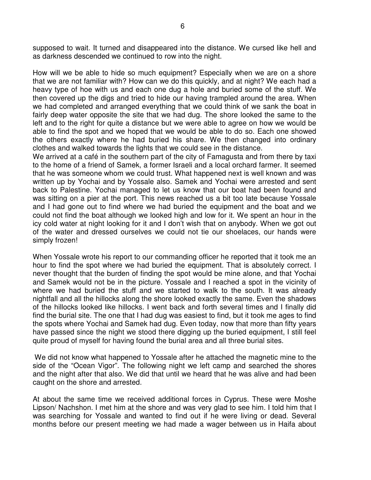supposed to wait. It turned and disappeared into the distance. We cursed like hell and as darkness descended we continued to row into the night.

How will we be able to hide so much equipment? Especially when we are on a shore that we are not familiar with? How can we do this quickly, and at night? We each had a heavy type of hoe with us and each one dug a hole and buried some of the stuff. We then covered up the digs and tried to hide our having trampled around the area. When we had completed and arranged everything that we could think of we sank the boat in fairly deep water opposite the site that we had dug. The shore looked the same to the left and to the right for quite a distance but we were able to agree on how we would be able to find the spot and we hoped that we would be able to do so. Each one showed the others exactly where he had buried his share. We then changed into ordinary clothes and walked towards the lights that we could see in the distance.

We arrived at a café in the southern part of the city of Famagusta and from there by taxi to the home of a friend of Samek, a former Israeli and a local orchard farmer. It seemed that he was someone whom we could trust. What happened next is well known and was written up by Yochai and by Yossale also. Samek and Yochai were arrested and sent back to Palestine. Yochai managed to let us know that our boat had been found and was sitting on a pier at the port. This news reached us a bit too late because Yossale and I had gone out to find where we had buried the equipment and the boat and we could not find the boat although we looked high and low for it. We spent an hour in the icy cold water at night looking for it and I don't wish that on anybody. When we got out of the water and dressed ourselves we could not tie our shoelaces, our hands were simply frozen!

When Yossale wrote his report to our commanding officer he reported that it took me an hour to find the spot where we had buried the equipment. That is absolutely correct. I never thought that the burden of finding the spot would be mine alone, and that Yochai and Samek would not be in the picture. Yossale and I reached a spot in the vicinity of where we had buried the stuff and we started to walk to the south. It was already nightfall and all the hillocks along the shore looked exactly the same. Even the shadows of the hillocks looked like hillocks. I went back and forth several times and I finally did find the burial site. The one that I had dug was easiest to find, but it took me ages to find the spots where Yochai and Samek had dug. Even today, now that more than fifty years have passed since the night we stood there digging up the buried equipment, I still feel quite proud of myself for having found the burial area and all three burial sites.

 We did not know what happened to Yossale after he attached the magnetic mine to the side of the "Ocean Vigor". The following night we left camp and searched the shores and the night after that also. We did that until we heard that he was alive and had been caught on the shore and arrested.

At about the same time we received additional forces in Cyprus. These were Moshe Lipson/ Nachshon. I met him at the shore and was very glad to see him. I told him that I was searching for Yossale and wanted to find out if he were living or dead. Several months before our present meeting we had made a wager between us in Haifa about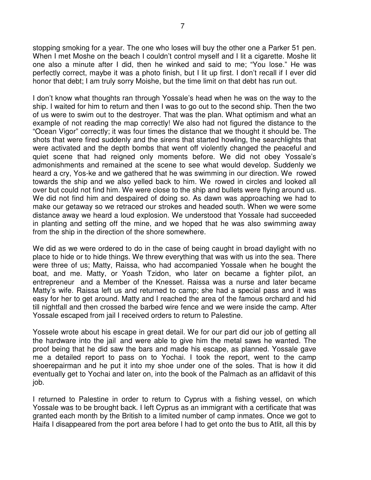stopping smoking for a year. The one who loses will buy the other one a Parker 51 pen. When I met Moshe on the beach I couldn't control myself and I lit a cigarette. Moshe lit one also a minute after I did, then he winked and said to me; "You lose." He was perfectly correct, maybe it was a photo finish, but I lit up first. I don't recall if I ever did honor that debt; I am truly sorry Moishe, but the time limit on that debt has run out.

I don't know what thoughts ran through Yossale's head when he was on the way to the ship. I waited for him to return and then I was to go out to the second ship. Then the two of us were to swim out to the destroyer. That was the plan. What optimism and what an example of not reading the map correctly! We also had not figured the distance to the "Ocean Vigor" correctly; it was four times the distance that we thought it should be. The shots that were fired suddenly and the sirens that started howling, the searchlights that were activated and the depth bombs that went off violently changed the peaceful and quiet scene that had reigned only moments before. We did not obey Yossale's admonishments and remained at the scene to see what would develop. Suddenly we heard a cry, Yos-ke and we gathered that he was swimming in our direction. We rowed towards the ship and we also yelled back to him. We rowed in circles and looked all over but could not find him. We were close to the ship and bullets were flying around us. We did not find him and despaired of doing so. As dawn was approaching we had to make our getaway so we retraced our strokes and headed south. When we were some distance away we heard a loud explosion. We understood that Yossale had succeeded in planting and setting off the mine, and we hoped that he was also swimming away from the ship in the direction of the shore somewhere.

We did as we were ordered to do in the case of being caught in broad daylight with no place to hide or to hide things. We threw everything that was with us into the sea. There were three of us; Matty, Raissa, who had accompanied Yossale when he bought the boat, and me. Matty, or Yoash Tzidon, who later on became a fighter pilot, an entrepreneur and a Member of the Knesset. Raissa was a nurse and later became Matty's wife. Raissa left us and returned to camp; she had a special pass and it was easy for her to get around. Matty and I reached the area of the famous orchard and hid till nightfall and then crossed the barbed wire fence and we were inside the camp. After Yossale escaped from jail I received orders to return to Palestine.

Yossele wrote about his escape in great detail. We for our part did our job of getting all the hardware into the jail and were able to give him the metal saws he wanted. The proof being that he did saw the bars and made his escape, as planned. Yossale gave me a detailed report to pass on to Yochai. I took the report, went to the camp shoerepairman and he put it into my shoe under one of the soles. That is how it did eventually get to Yochai and later on, into the book of the Palmach as an affidavit of this job.

I returned to Palestine in order to return to Cyprus with a fishing vessel, on which Yossale was to be brought back. I left Cyprus as an immigrant with a certificate that was granted each month by the British to a limited number of camp inmates. Once we got to Haifa I disappeared from the port area before I had to get onto the bus to Atlit, all this by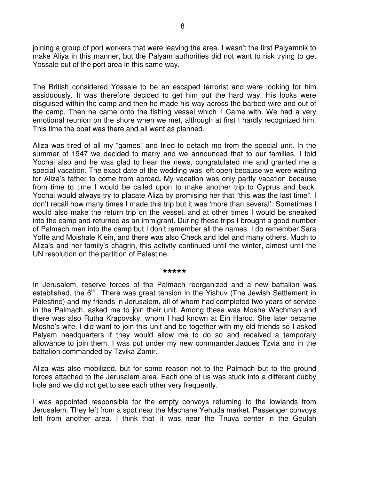joining a group of port workers that were leaving the area. I wasn't the first Palyamnik to make Aliya in this manner, but the Palyam authorities did not want to risk trying to get Yossale out of the port area in this same way.

The British considered Yossale to be an escaped terrorist and were looking for him assiduously. It was therefore decided to get him out the hard way. His looks were disguised within the camp and then he made his way across the barbed wire and out of the camp. Then he came onto the fishing vessel which I Came with. We had a very emotional reunion on the shore when we met, although at first I hardly recognized him. This time the boat was there and all went as planned.

Aliza was tired of all my "games" and tried to detach me from the special unit. In the summer of 1947 we decided to marry and we announced that to our families. I told Yochai also and he was glad to hear the news, congratulated me and granted me a special vacation. The exact date of the wedding was left open because we were waiting for Aliza's father to come from abroad**.** My vacation was only partly vacation because from time to time I would be called upon to make another trip to Cyprus and back. Yochai would always try to placate Aliza by promising her that "this was the last time". I don't recall how many times I made this trip but it was 'more than several'. Sometimes I would also make the return trip on the vessel, and at other times I would be sneaked into the camp and returned as an immigrant. During these trips I brought a good number of Palmach men into the camp but I don't remember all the names. I do remember Sara Yoffe and Moishale Klein, and there was also Check and Idel and many others. Much to Aliza's and her family's chagrin, this activity continued until the winter, almost until the UN resolution on the partition of Palestine.

#### **\*\*\*\*\***

In Jerusalem, reserve forces of the Palmach reorganized and a new battalion was established, the 6<sup>th.</sup>. There was great tension in the Yishuv (The Jewish Settlement in Palestine) and my friends in Jerusalem, all of whom had completed two years of service in the Palmach, asked me to join their unit. Among these was Moshe Wachman and there was also Rutha Krapovsky, whom I had known at Ein Harod. She later became Moshe's wife. I did want to join this unit and be together with my old friends so I asked Palyam headquarters if they would allow me to do so and received a temporary allowance to join them. I was put under my new commander,Jaques Tzvia and in the battalion commanded by Tzvika Zamir.

Aliza was also mobilized, but for some reason not to the Palmach but to the ground forces attached to the Jerusalem area. Each one of us was stuck into a different cubby hole and we did not get to see each other very frequently.

I was appointed responsible for the empty convoys returning to the lowlands from Jerusalem. They left from a spot near the Machane Yehuda market. Passenger convoys left from another area. I think that it was near the Tnuva center in the Geulah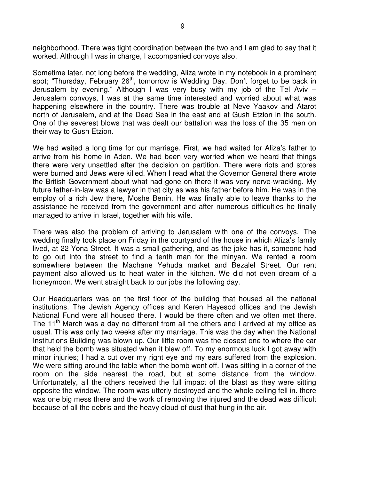neighborhood. There was tight coordination between the two and I am glad to say that it worked. Although I was in charge, I accompanied convoys also.

Sometime later, not long before the wedding, Aliza wrote in my notebook in a prominent spot; "Thursday, February 26<sup>th</sup>, tomorrow is Wedding Day. Don't forget to be back in Jerusalem by evening." Although I was very busy with my job of the Tel Aviv – Jerusalem convoys, I was at the same time interested and worried about what was happening elsewhere in the country. There was trouble at Neve Yaakov and Atarot north of Jerusalem, and at the Dead Sea in the east and at Gush Etzion in the south. One of the severest blows that was dealt our battalion was the loss of the 35 men on their way to Gush Etzion.

We had waited a long time for our marriage. First, we had waited for Aliza's father to arrive from his home in Aden. We had been very worried when we heard that things there were very unsettled after the decision on partition. There were riots and stores were burned and Jews were killed. When I read what the Governor General there wrote the British Government about what had gone on there it was very nerve-wracking. My future father-in-law was a lawyer in that city as was his father before him. He was in the employ of a rich Jew there, Moshe Benin. He was finally able to leave thanks to the assistance he received from the government and after numerous difficulties he finally managed to arrive in Israel, together with his wife.

There was also the problem of arriving to Jerusalem with one of the convoys. The wedding finally took place on Friday in the courtyard of the house in which Aliza's family lived, at 22 Yona Street. It was a small gathering, and as the joke has it, someone had to go out into the street to find a tenth man for the minyan. We rented a room somewhere between the Machane Yehuda market and Bezalel Street. Our rent payment also allowed us to heat water in the kitchen. We did not even dream of a honeymoon. We went straight back to our jobs the following day.

Our Headquarters was on the first floor of the building that housed all the national institutions. The Jewish Agency offices and Keren Hayesod offices and the Jewish National Fund were all housed there. I would be there often and we often met there. The 11<sup>th</sup> March was a day no different from all the others and I arrived at my office as usual. This was only two weeks after my marriage. This was the day when the National Institutions Building was blown up. Our little room was the closest one to where the car that held the bomb was situated when it blew off. To my enormous luck I got away with minor injuries; I had a cut over my right eye and my ears suffered from the explosion. We were sitting around the table when the bomb went off. I was sitting in a corner of the room on the side nearest the road, but at some distance from the window. Unfortunately, all the others received the full impact of the blast as they were sitting opposite the window. The room was utterly destroyed and the whole ceiling fell in. there was one big mess there and the work of removing the injured and the dead was difficult because of all the debris and the heavy cloud of dust that hung in the air.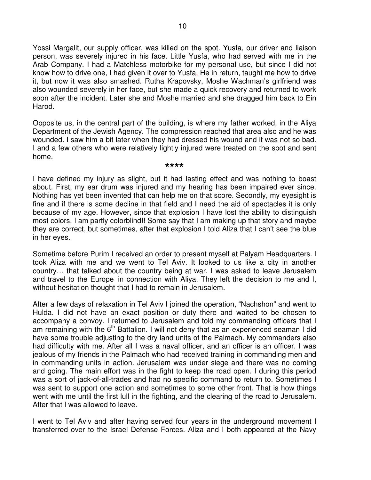Yossi Margalit, our supply officer, was killed on the spot. Yusfa, our driver and liaison person, was severely injured in his face. Little Yusfa, who had served with me in the Arab Company. I had a Matchless motorbike for my personal use, but since I did not know how to drive one, I had given it over to Yusfa. He in return, taught me how to drive it, but now it was also smashed. Rutha Krapovsky, Moshe Wachman's girlfriend was also wounded severely in her face, but she made a quick recovery and returned to work soon after the incident. Later she and Moshe married and she dragged him back to Ein Harod.

Opposite us, in the central part of the building, is where my father worked, in the Aliya Department of the Jewish Agency. The compression reached that area also and he was wounded. I saw him a bit later when they had dressed his wound and it was not so bad. I and a few others who were relatively lightly injured were treated on the spot and sent home.

### **\*\*\*\***

I have defined my injury as slight, but it had lasting effect and was nothing to boast about. First, my ear drum was injured and my hearing has been impaired ever since. Nothing has yet been invented that can help me on that score. Secondly, my eyesight is fine and if there is some decline in that field and I need the aid of spectacles it is only because of my age. However, since that explosion I have lost the ability to distinguish most colors, I am partly colorblind!! Some say that I am making up that story and maybe they are correct, but sometimes, after that explosion I told Aliza that I can't see the blue in her eyes.

Sometime before Purim I received an order to present myself at Palyam Headquarters. I took Aliza with me and we went to Tel Aviv. It looked to us like a city in another country… that talked about the country being at war. I was asked to leave Jerusalem and travel to the Europe in connection with Aliya. They left the decision to me and I, without hesitation thought that I had to remain in Jerusalem.

After a few days of relaxation in Tel Aviv I joined the operation, "Nachshon" and went to Hulda. I did not have an exact position or duty there and waited to be chosen to accompany a convoy. I returned to Jerusalem and told my commanding officers that I am remaining with the  $6<sup>th</sup>$  Battalion. I will not deny that as an experienced seaman I did have some trouble adjusting to the dry land units of the Palmach. My commanders also had difficulty with me. After all I was a naval officer, and an officer is an officer. I was jealous of my friends in the Palmach who had received training in commanding men and in commanding units in action. Jerusalem was under siege and there was no coming and going. The main effort was in the fight to keep the road open. I during this period was a sort of jack-of-all-trades and had no specific command to return to. Sometimes I was sent to support one action and sometimes to some other front. That is how things went with me until the first lull in the fighting, and the clearing of the road to Jerusalem. After that I was allowed to leave.

I went to Tel Aviv and after having served four years in the underground movement I transferred over to the Israel Defense Forces. Aliza and I both appeared at the Navy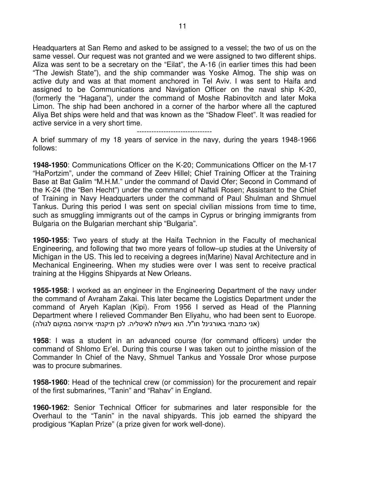Headquarters at San Remo and asked to be assigned to a vessel; the two of us on the same vessel. Our request was not granted and we were assigned to two different ships. Aliza was sent to be a secretary on the "Eilat", the A-16 (in earlier times this had been "The Jewish State"), and the ship commander was Yoske Almog. The ship was on active duty and was at that moment anchored in Tel Aviv. I was sent to Haifa and assigned to be Communications and Navigation Officer on the naval ship K-20, (formerly the "Hagana"), under the command of Moshe Rabinovitch and later Moka Limon. The ship had been anchored in a corner of the harbor where all the captured Aliya Bet ships were held and that was known as the "Shadow Fleet". It was readied for active service in a very short time.

-------------------------------

A brief summary of my 18 years of service in the navy, during the years 1948-1966 follows:

**1948-1950**: Communications Officer on the K-20; Communications Officer on the M-17 "HaPortzim", under the command of Zeev Hillel; Chief Training Officer at the Training Base at Bat Galim "M.H.M." under the command of David Ofer; Second in Command of the K-24 (the "Ben Hecht") under the command of Naftali Rosen; Assistant to the Chief of Training in Navy Headquarters under the command of Paul Shulman and Shmuel Tankus. During this period I was sent on special civilian missions from time to time, such as smuggling immigrants out of the camps in Cyprus or bringing immigrants from Bulgaria on the Bulgarian merchant ship "Bulgaria".

**1950-1955**: Two years of study at the Haifa Technion in the Faculty of mechanical Engineering, and following that two more years of follow–up studies at the University of Michigan in the US. This led to receiving a degrees in(Marine) Naval Architecture and in Mechanical Engineering. When my studies were over I was sent to receive practical training at the Higgins Shipyards at New Orleans.

**1955-1958**: I worked as an engineer in the Engineering Department of the navy under the command of Avraham Zakai. This later became the Logistics Department under the command of Aryeh Kaplan (Kipi). From 1956 I served as Head of the Planning Department where I relieved Commander Ben Eliyahu, who had been sent to Euorope. (אני כתבתי באורגינל חו"ל. הוא נישלח לאיטליה. לכן תיקנתי אירופה במקום לגולה)

**1958**: I was a student in an advanced course (for command officers) under the command of Shlomo Er'el. During this course I was taken out to jointhe mission of the Commander In Chief of the Navy, Shmuel Tankus and Yossale Dror whose purpose was to procure submarines.

**1958-1960**: Head of the technical crew (or commission) for the procurement and repair of the first submarines, "Tanin" and "Rahav" in England.

**1960-1962**: Senior Technical Officer for submarines and later responsible for the Overhaul to the "Tanin" in the naval shipyards. This job earned the shipyard the prodigious "Kaplan Prize" (a prize given for work well-done).